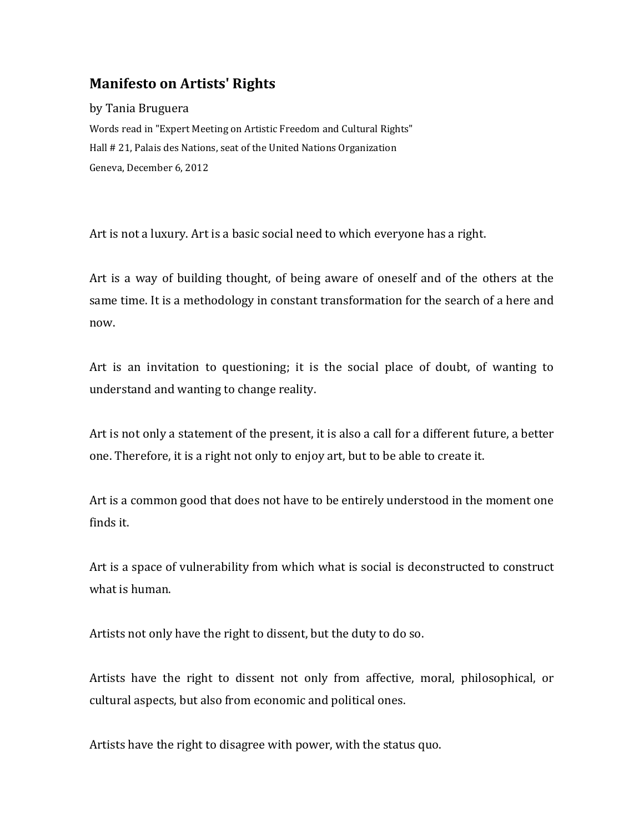## **Manifesto on Artists' Rights**

by Tania Bruguera Words read in "Expert Meeting on Artistic Freedom and Cultural Rights" Hall # 21, Palais des Nations, seat of the United Nations Organization Geneva, December 6, 2012

Art is not a luxury. Art is a basic social need to which everyone has a right.

Art is a way of building thought, of being aware of oneself and of the others at the same time. It is a methodology in constant transformation for the search of a here and now.

Art is an invitation to questioning; it is the social place of doubt, of wanting to understand and wanting to change reality.

Art is not only a statement of the present, it is also a call for a different future, a better one. Therefore, it is a right not only to enjoy art, but to be able to create it.

Art is a common good that does not have to be entirely understood in the moment one finds it.

Art is a space of vulnerability from which what is social is deconstructed to construct what is human.

Artists not only have the right to dissent, but the duty to do so.

Artists have the right to dissent not only from affective, moral, philosophical, or cultural aspects, but also from economic and political ones.

Artists have the right to disagree with power, with the status quo.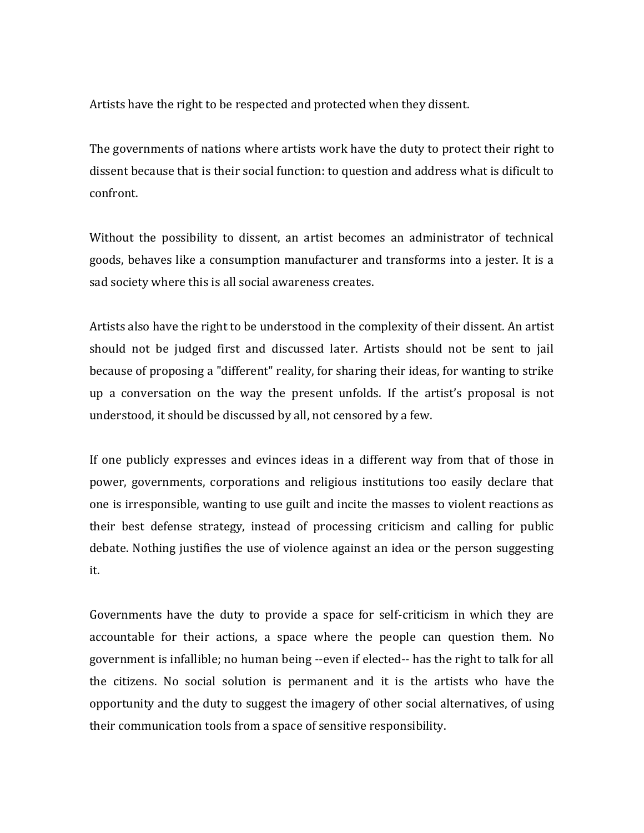Artists have the right to be respected and protected when they dissent.

The governments of nations where artists work have the duty to protect their right to dissent because that is their social function: to question and address what is dificult to confront.

Without the possibility to dissent, an artist becomes an administrator of technical goods, behaves like a consumption manufacturer and transforms into a jester. It is a sad society where this is all social awareness creates.

Artists also have the right to be understood in the complexity of their dissent. An artist should not be judged first and discussed later. Artists should not be sent to jail because of proposing a "different" reality, for sharing their ideas, for wanting to strike up a conversation on the way the present unfolds. If the artist's proposal is not understood, it should be discussed by all, not censored by a few.

If one publicly expresses and evinces ideas in a different way from that of those in power, governments, corporations and religious institutions too easily declare that one is irresponsible, wanting to use guilt and incite the masses to violent reactions as their best defense strategy, instead of processing criticism and calling for public debate. Nothing justifies the use of violence against an idea or the person suggesting it.

Governments have the duty to provide a space for self-criticism in which they are accountable for their actions, a space where the people can question them. No government is infallible; no human being --even if elected-- has the right to talk for all the citizens. No social solution is permanent and it is the artists who have the opportunity and the duty to suggest the imagery of other social alternatives, of using their communication tools from a space of sensitive responsibility.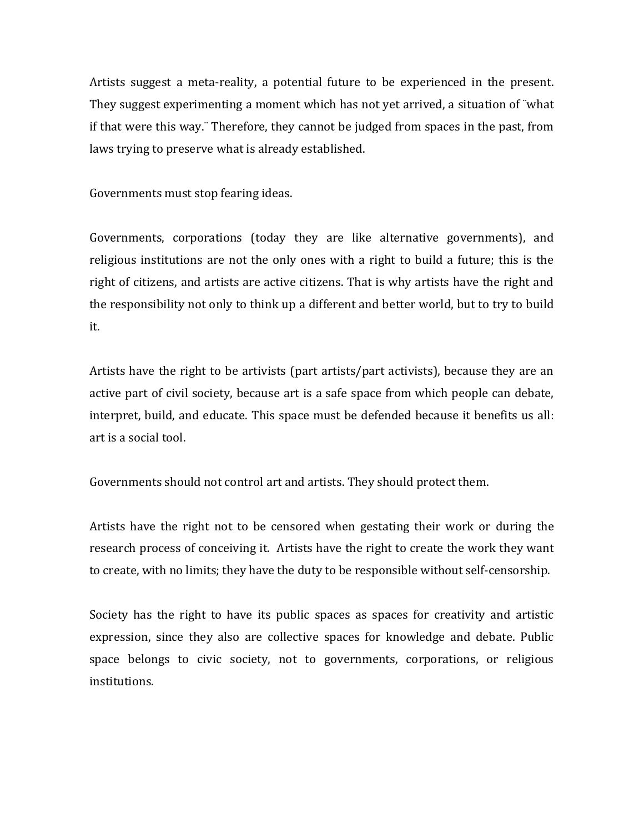Artists suggest a meta-reality, a potential future to be experienced in the present. They suggest experimenting a moment which has not yet arrived, a situation of ¨what if that were this way.¨ Therefore, they cannot be judged from spaces in the past, from laws trying to preserve what is already established.

Governments must stop fearing ideas.

Governments, corporations (today they are like alternative governments), and religious institutions are not the only ones with a right to build a future; this is the right of citizens, and artists are active citizens. That is why artists have the right and the responsibility not only to think up a different and better world, but to try to build it.

Artists have the right to be artivists (part artists/part activists), because they are an active part of civil society, because art is a safe space from which people can debate, interpret, build, and educate. This space must be defended because it benefits us all: art is a social tool.

Governments should not control art and artists. They should protect them.

Artists have the right not to be censored when gestating their work or during the research process of conceiving it. Artists have the right to create the work they want to create, with no limits; they have the duty to be responsible without self-censorship.

Society has the right to have its public spaces as spaces for creativity and artistic expression, since they also are collective spaces for knowledge and debate. Public space belongs to civic society, not to governments, corporations, or religious institutions.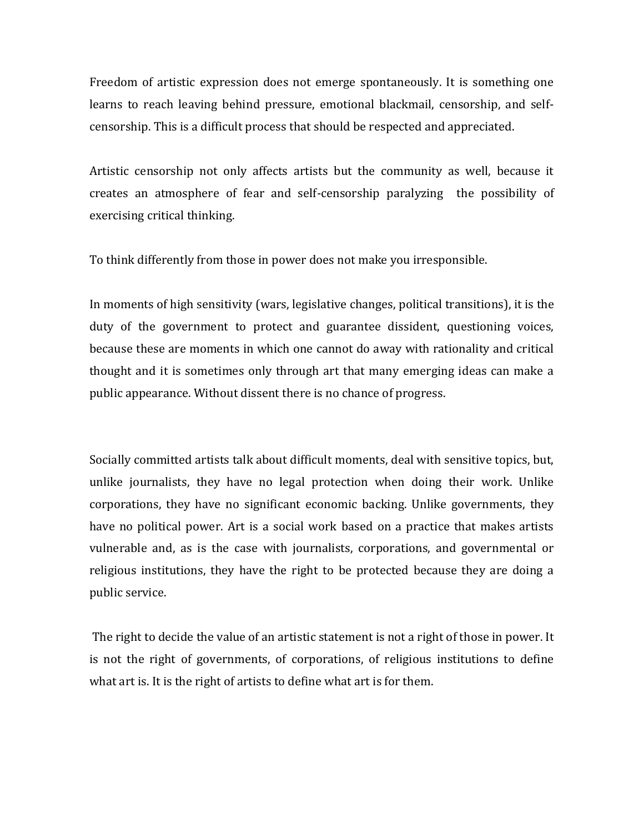Freedom of artistic expression does not emerge spontaneously. It is something one learns to reach leaving behind pressure, emotional blackmail, censorship, and selfcensorship. This is a difficult process that should be respected and appreciated.

Artistic censorship not only affects artists but the community as well, because it creates an atmosphere of fear and self-censorship paralyzing the possibility of exercising critical thinking.

To think differently from those in power does not make you irresponsible.

In moments of high sensitivity (wars, legislative changes, political transitions), it is the duty of the government to protect and guarantee dissident, questioning voices, because these are moments in which one cannot do away with rationality and critical thought and it is sometimes only through art that many emerging ideas can make a public appearance. Without dissent there is no chance of progress.

Socially committed artists talk about difficult moments, deal with sensitive topics, but, unlike journalists, they have no legal protection when doing their work. Unlike corporations, they have no significant economic backing. Unlike governments, they have no political power. Art is a social work based on a practice that makes artists vulnerable and, as is the case with journalists, corporations, and governmental or religious institutions, they have the right to be protected because they are doing a public service.

The right to decide the value of an artistic statement is not a right of those in power. It is not the right of governments, of corporations, of religious institutions to define what art is. It is the right of artists to define what art is for them.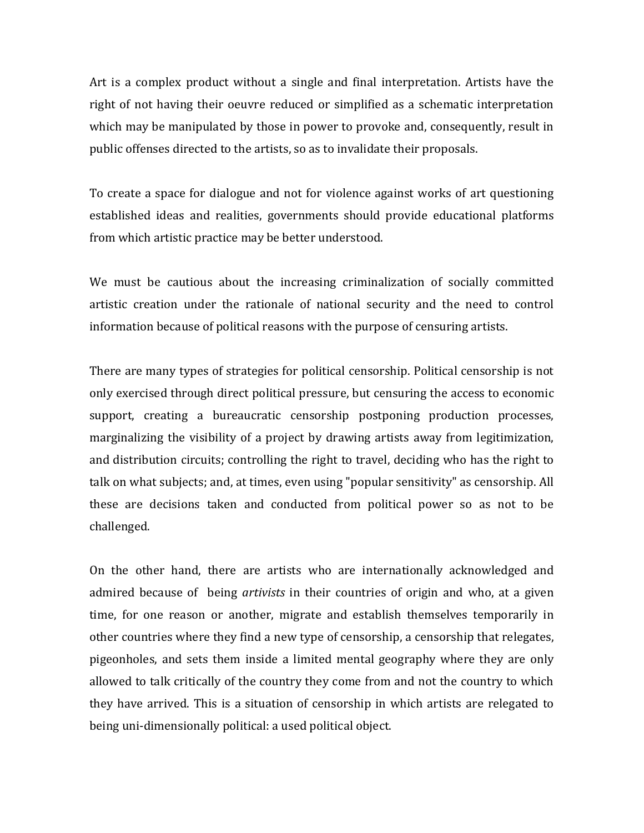Art is a complex product without a single and final interpretation. Artists have the right of not having their oeuvre reduced or simplified as a schematic interpretation which may be manipulated by those in power to provoke and, consequently, result in public offenses directed to the artists, so as to invalidate their proposals.

To create a space for dialogue and not for violence against works of art questioning established ideas and realities, governments should provide educational platforms from which artistic practice may be better understood.

We must be cautious about the increasing criminalization of socially committed artistic creation under the rationale of national security and the need to control information because of political reasons with the purpose of censuring artists.

There are many types of strategies for political censorship. Political censorship is not only exercised through direct political pressure, but censuring the access to economic support, creating a bureaucratic censorship postponing production processes, marginalizing the visibility of a project by drawing artists away from legitimization, and distribution circuits; controlling the right to travel, deciding who has the right to talk on what subjects; and, at times, even using "popular sensitivity" as censorship. All these are decisions taken and conducted from political power so as not to be challenged.

On the other hand, there are artists who are internationally acknowledged and admired because of being *artivists* in their countries of origin and who, at a given time, for one reason or another, migrate and establish themselves temporarily in other countries where they find a new type of censorship, a censorship that relegates, pigeonholes, and sets them inside a limited mental geography where they are only allowed to talk critically of the country they come from and not the country to which they have arrived. This is a situation of censorship in which artists are relegated to being uni-dimensionally political: a used political object.